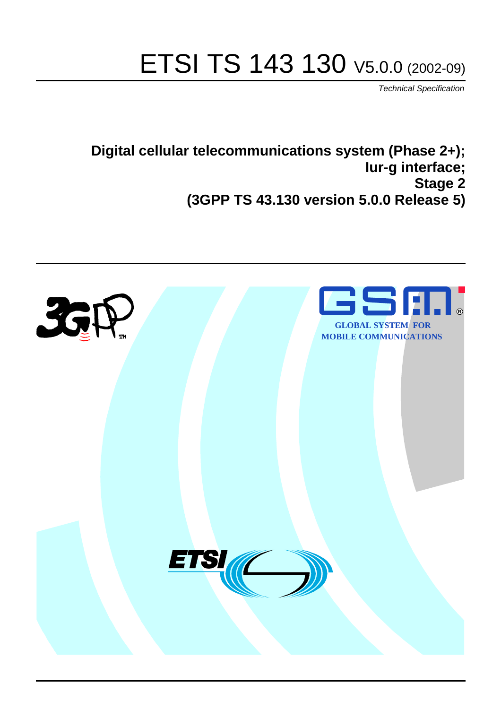# ETSI TS 143 130 V5.0.0 (2002-09)

Technical Specification

**Digital cellular telecommunications system (Phase 2+); Iur-g interface; Stage 2 (3GPP TS 43.130 version 5.0.0 Release 5)**

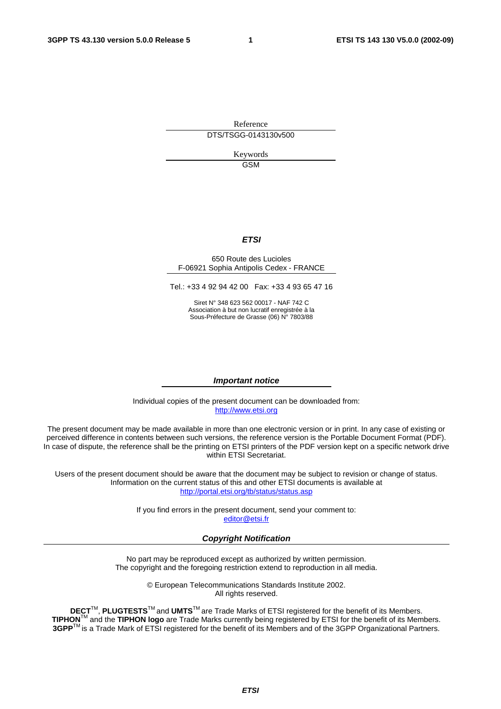Reference DTS/TSGG-0143130v500

> Keywords GSM

#### **ETSI**

#### 650 Route des Lucioles F-06921 Sophia Antipolis Cedex - FRANCE

Tel.: +33 4 92 94 42 00 Fax: +33 4 93 65 47 16

Siret N° 348 623 562 00017 - NAF 742 C Association à but non lucratif enregistrée à la Sous-Préfecture de Grasse (06) N° 7803/88

#### **Important notice**

Individual copies of the present document can be downloaded from: [http://www.etsi.org](http://www.etsi.org/)

The present document may be made available in more than one electronic version or in print. In any case of existing or perceived difference in contents between such versions, the reference version is the Portable Document Format (PDF). In case of dispute, the reference shall be the printing on ETSI printers of the PDF version kept on a specific network drive within ETSI Secretariat.

Users of the present document should be aware that the document may be subject to revision or change of status. Information on the current status of this and other ETSI documents is available at <http://portal.etsi.org/tb/status/status.asp>

> If you find errors in the present document, send your comment to: [editor@etsi.fr](mailto:editor@etsi.fr)

#### **Copyright Notification**

No part may be reproduced except as authorized by written permission. The copyright and the foregoing restriction extend to reproduction in all media.

> © European Telecommunications Standards Institute 2002. All rights reserved.

**DECT**TM, **PLUGTESTS**TM and **UMTS**TM are Trade Marks of ETSI registered for the benefit of its Members. **TIPHON**TM and the **TIPHON logo** are Trade Marks currently being registered by ETSI for the benefit of its Members. **3GPP**TM is a Trade Mark of ETSI registered for the benefit of its Members and of the 3GPP Organizational Partners.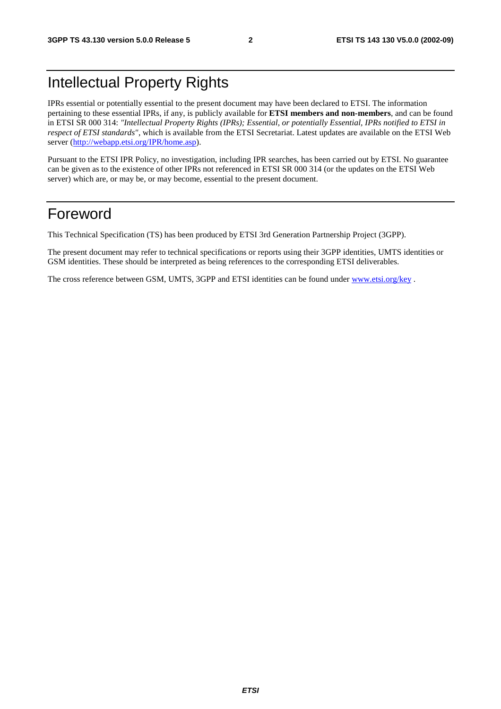# Intellectual Property Rights

IPRs essential or potentially essential to the present document may have been declared to ETSI. The information pertaining to these essential IPRs, if any, is publicly available for **ETSI members and non-members**, and can be found in ETSI SR 000 314: *"Intellectual Property Rights (IPRs); Essential, or potentially Essential, IPRs notified to ETSI in respect of ETSI standards"*, which is available from the ETSI Secretariat. Latest updates are available on the ETSI Web server ([http://webapp.etsi.org/IPR/home.asp\)](http://webapp.etsi.org/IPR/home.asp).

Pursuant to the ETSI IPR Policy, no investigation, including IPR searches, has been carried out by ETSI. No guarantee can be given as to the existence of other IPRs not referenced in ETSI SR 000 314 (or the updates on the ETSI Web server) which are, or may be, or may become, essential to the present document.

### Foreword

This Technical Specification (TS) has been produced by ETSI 3rd Generation Partnership Project (3GPP).

The present document may refer to technical specifications or reports using their 3GPP identities, UMTS identities or GSM identities. These should be interpreted as being references to the corresponding ETSI deliverables.

The cross reference between GSM, UMTS, 3GPP and ETSI identities can be found under [www.etsi.org/key](http://www.etsi.org/key) .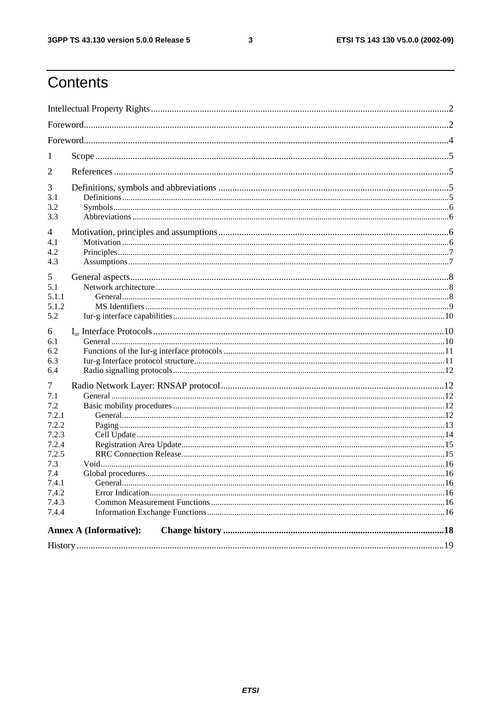$\mathbf{3}$ 

# Contents

| 1<br>$\overline{2}$<br>3<br>3.1<br>3.2<br>3.3<br>4<br>4.1<br>4.2<br>4.3<br>5<br>5.1<br>5.1.1<br>5.1.2<br>5.2<br>6<br>6.1<br>6.2<br>6.3<br>6.4<br>7<br>7.1<br>7.2<br>7.2.1<br>7.2.2<br>7.2.3<br>7.2.4<br>7.2.5<br>7.3<br>7.4<br>7.4.1<br>7.4.2<br>7.4.3<br>7.4.4<br><b>Annex A (Informative):</b> |  |  |  |  |  |
|--------------------------------------------------------------------------------------------------------------------------------------------------------------------------------------------------------------------------------------------------------------------------------------------------|--|--|--|--|--|
|                                                                                                                                                                                                                                                                                                  |  |  |  |  |  |
|                                                                                                                                                                                                                                                                                                  |  |  |  |  |  |
|                                                                                                                                                                                                                                                                                                  |  |  |  |  |  |
|                                                                                                                                                                                                                                                                                                  |  |  |  |  |  |
|                                                                                                                                                                                                                                                                                                  |  |  |  |  |  |
|                                                                                                                                                                                                                                                                                                  |  |  |  |  |  |
|                                                                                                                                                                                                                                                                                                  |  |  |  |  |  |
|                                                                                                                                                                                                                                                                                                  |  |  |  |  |  |
|                                                                                                                                                                                                                                                                                                  |  |  |  |  |  |
|                                                                                                                                                                                                                                                                                                  |  |  |  |  |  |
|                                                                                                                                                                                                                                                                                                  |  |  |  |  |  |
|                                                                                                                                                                                                                                                                                                  |  |  |  |  |  |
|                                                                                                                                                                                                                                                                                                  |  |  |  |  |  |
|                                                                                                                                                                                                                                                                                                  |  |  |  |  |  |
|                                                                                                                                                                                                                                                                                                  |  |  |  |  |  |
|                                                                                                                                                                                                                                                                                                  |  |  |  |  |  |
|                                                                                                                                                                                                                                                                                                  |  |  |  |  |  |
|                                                                                                                                                                                                                                                                                                  |  |  |  |  |  |
|                                                                                                                                                                                                                                                                                                  |  |  |  |  |  |
|                                                                                                                                                                                                                                                                                                  |  |  |  |  |  |
|                                                                                                                                                                                                                                                                                                  |  |  |  |  |  |
|                                                                                                                                                                                                                                                                                                  |  |  |  |  |  |
|                                                                                                                                                                                                                                                                                                  |  |  |  |  |  |
|                                                                                                                                                                                                                                                                                                  |  |  |  |  |  |
|                                                                                                                                                                                                                                                                                                  |  |  |  |  |  |
|                                                                                                                                                                                                                                                                                                  |  |  |  |  |  |
|                                                                                                                                                                                                                                                                                                  |  |  |  |  |  |
|                                                                                                                                                                                                                                                                                                  |  |  |  |  |  |
|                                                                                                                                                                                                                                                                                                  |  |  |  |  |  |
|                                                                                                                                                                                                                                                                                                  |  |  |  |  |  |
|                                                                                                                                                                                                                                                                                                  |  |  |  |  |  |
|                                                                                                                                                                                                                                                                                                  |  |  |  |  |  |
|                                                                                                                                                                                                                                                                                                  |  |  |  |  |  |
|                                                                                                                                                                                                                                                                                                  |  |  |  |  |  |
|                                                                                                                                                                                                                                                                                                  |  |  |  |  |  |
|                                                                                                                                                                                                                                                                                                  |  |  |  |  |  |
|                                                                                                                                                                                                                                                                                                  |  |  |  |  |  |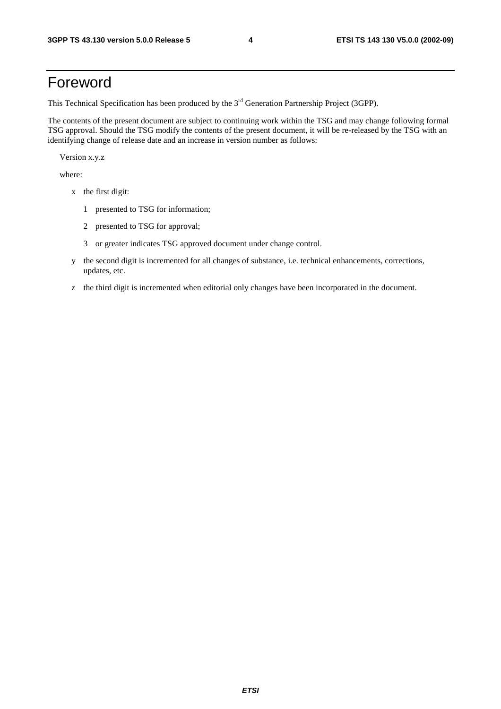## Foreword

This Technical Specification has been produced by the 3<sup>rd</sup> Generation Partnership Project (3GPP).

The contents of the present document are subject to continuing work within the TSG and may change following formal TSG approval. Should the TSG modify the contents of the present document, it will be re-released by the TSG with an identifying change of release date and an increase in version number as follows:

Version x.y.z

where:

- x the first digit:
	- 1 presented to TSG for information;
	- 2 presented to TSG for approval;
	- 3 or greater indicates TSG approved document under change control.
- y the second digit is incremented for all changes of substance, i.e. technical enhancements, corrections, updates, etc.
- z the third digit is incremented when editorial only changes have been incorporated in the document.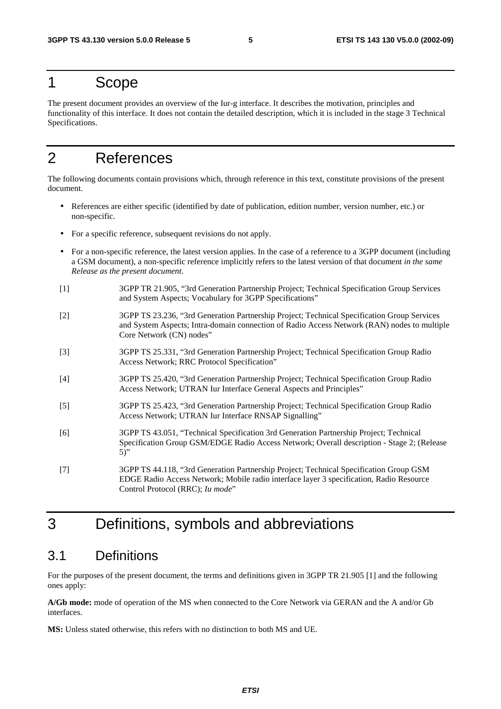### 1 Scope

The present document provides an overview of the Iur-g interface. It describes the motivation, principles and functionality of this interface. It does not contain the detailed description, which it is included in the stage 3 Technical Specifications.

# 2 References

The following documents contain provisions which, through reference in this text, constitute provisions of the present document.

- References are either specific (identified by date of publication, edition number, version number, etc.) or non-specific.
- For a specific reference, subsequent revisions do not apply.
- For a non-specific reference, the latest version applies. In the case of a reference to a 3GPP document (including a GSM document), a non-specific reference implicitly refers to the latest version of that document *in the same Release as the present document*.
- [1] 3GPP TR 21.905, "3rd Generation Partnership Project; Technical Specification Group Services and System Aspects; Vocabulary for 3GPP Specifications"
- [2] 3GPP TS 23.236, "3rd Generation Partnership Project; Technical Specification Group Services and System Aspects; Intra-domain connection of Radio Access Network (RAN) nodes to multiple Core Network (CN) nodes"
- [3] 3GPP TS 25.331, "3rd Generation Partnership Project; Technical Specification Group Radio Access Network; RRC Protocol Specification"
- [4] 3GPP TS 25.420, "3rd Generation Partnership Project; Technical Specification Group Radio Access Network; UTRAN Iur Interface General Aspects and Principles"
- [5] 3GPP TS 25.423, "3rd Generation Partnership Project; Technical Specification Group Radio Access Network; UTRAN Iur Interface RNSAP Signalling"
- [6] 3GPP TS 43.051, "Technical Specification 3rd Generation Partnership Project; Technical Specification Group GSM/EDGE Radio Access Network; Overall description - Stage 2; (Release 5)"
- [7] 3GPP TS 44.118, "3rd Generation Partnership Project; Technical Specification Group GSM EDGE Radio Access Network; Mobile radio interface layer 3 specification, Radio Resource Control Protocol (RRC); *Iu mode*"

### 3 Definitions, symbols and abbreviations

#### 3.1 Definitions

For the purposes of the present document, the terms and definitions given in 3GPP TR 21.905 [1] and the following ones apply:

**A/Gb mode:** mode of operation of the MS when connected to the Core Network via GERAN and the A and/or Gb interfaces.

**MS:** Unless stated otherwise, this refers with no distinction to both MS and UE.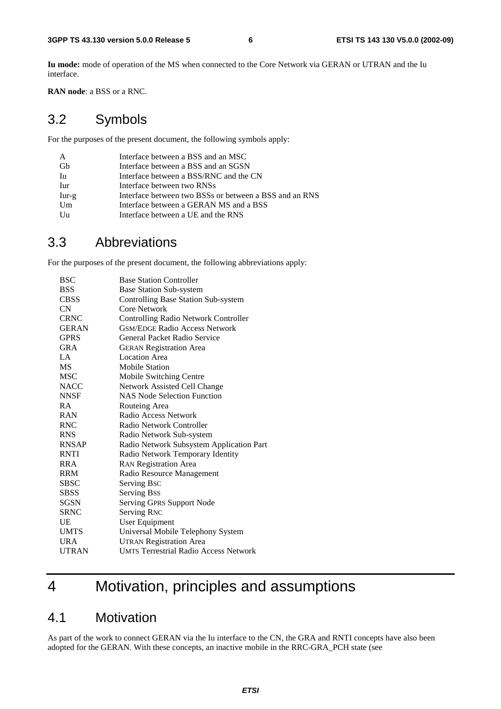**Iu mode:** mode of operation of the MS when connected to the Core Network via GERAN or UTRAN and the Iu interface.

**RAN node**: a BSS or a RNC.

#### 3.2 Symbols

For the purposes of the present document, the following symbols apply:

| A       | Interface between a BSS and an MSC                     |
|---------|--------------------------------------------------------|
| Gh      | Interface between a BSS and an SGSN                    |
| Iu      | Interface between a BSS/RNC and the CN                 |
| Iur     | Interface between two RNSs                             |
| $Iur-g$ | Interface between two BSSs or between a BSS and an RNS |
| Um      | Interface between a GERAN MS and a BSS                 |
| Uu      | Interface between a UE and the RNS                     |

#### 3.3 Abbreviations

For the purposes of the present document, the following abbreviations apply:

| <b>BSC</b>   | <b>Base Station Controller</b>               |
|--------------|----------------------------------------------|
| <b>BSS</b>   | <b>Base Station Sub-system</b>               |
| <b>CBSS</b>  | Controlling Base Station Sub-system          |
| CN           | Core Network                                 |
| <b>CRNC</b>  | <b>Controlling Radio Network Controller</b>  |
| <b>GERAN</b> | <b>GSM/EDGE Radio Access Network</b>         |
| <b>GPRS</b>  | General Packet Radio Service                 |
| <b>GRA</b>   | <b>GERAN Registration Area</b>               |
| $L^A$        | Location Area                                |
| <b>MS</b>    | <b>Mobile Station</b>                        |
| <b>MSC</b>   | Mobile Switching Centre                      |
| <b>NACC</b>  | Network Assisted Cell Change                 |
| <b>NNSF</b>  | <b>NAS Node Selection Function</b>           |
| R A          | Routeing Area                                |
| <b>RAN</b>   | Radio Access Network                         |
| <b>RNC</b>   | Radio Network Controller                     |
| <b>RNS</b>   | Radio Network Sub-system                     |
| <b>RNSAP</b> | Radio Network Subsystem Application Part     |
| <b>RNTI</b>  | Radio Network Temporary Identity             |
| <b>RRA</b>   | <b>RAN Registration Area</b>                 |
| <b>RRM</b>   | Radio Resource Management                    |
| SBSC         | Serving Bsc                                  |
| <b>SBSS</b>  | Serving Bss                                  |
| <b>SGSN</b>  | <b>Serving GPRS Support Node</b>             |
| <b>SRNC</b>  | <b>Serving RNC</b>                           |
| UE           | User Equipment                               |
| <b>UMTS</b>  | Universal Mobile Telephony System            |
| <b>URA</b>   | <b>UTRAN Registration Area</b>               |
| <b>UTRAN</b> | <b>UMTS Terrestrial Radio Access Network</b> |
|              |                                              |

# 4 Motivation, principles and assumptions

#### 4.1 Motivation

As part of the work to connect GERAN via the Iu interface to the CN, the GRA and RNTI concepts have also been adopted for the GERAN. With these concepts, an inactive mobile in the RRC-GRA\_PCH state (see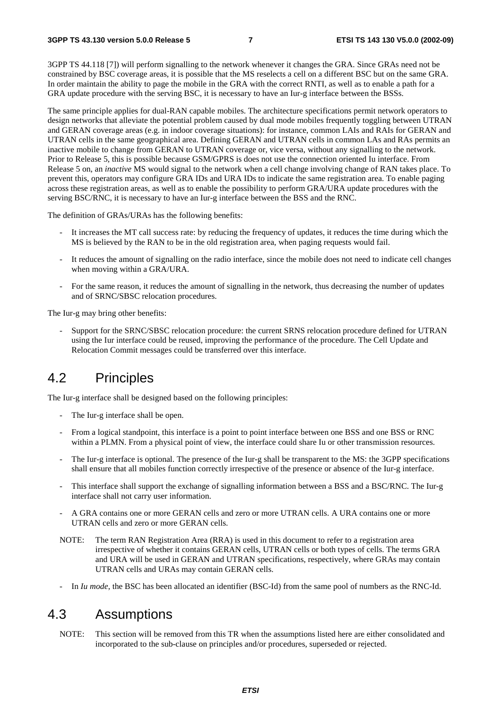3GPP TS 44.118 [7]) will perform signalling to the network whenever it changes the GRA. Since GRAs need not be constrained by BSC coverage areas, it is possible that the MS reselects a cell on a different BSC but on the same GRA. In order maintain the ability to page the mobile in the GRA with the correct RNTI, as well as to enable a path for a GRA update procedure with the serving BSC, it is necessary to have an Iur-g interface between the BSSs.

The same principle applies for dual-RAN capable mobiles. The architecture specifications permit network operators to design networks that alleviate the potential problem caused by dual mode mobiles frequently toggling between UTRAN and GERAN coverage areas (e.g. in indoor coverage situations): for instance, common LAIs and RAIs for GERAN and UTRAN cells in the same geographical area. Defining GERAN and UTRAN cells in common LAs and RAs permits an inactive mobile to change from GERAN to UTRAN coverage or, vice versa, without any signalling to the network. Prior to Release 5, this is possible because GSM/GPRS is does not use the connection oriented Iu interface. From Release 5 on, an *inactive* MS would signal to the network when a cell change involving change of RAN takes place. To prevent this, operators may configure GRA IDs and URA IDs to indicate the same registration area. To enable paging across these registration areas, as well as to enable the possibility to perform GRA/URA update procedures with the serving BSC/RNC, it is necessary to have an Iur-g interface between the BSS and the RNC.

The definition of GRAs/URAs has the following benefits:

- It increases the MT call success rate: by reducing the frequency of updates, it reduces the time during which the MS is believed by the RAN to be in the old registration area, when paging requests would fail.
- It reduces the amount of signalling on the radio interface, since the mobile does not need to indicate cell changes when moving within a GRA/URA.
- For the same reason, it reduces the amount of signalling in the network, thus decreasing the number of updates and of SRNC/SBSC relocation procedures.

The Iur-g may bring other benefits:

- Support for the SRNC/SBSC relocation procedure: the current SRNS relocation procedure defined for UTRAN using the Iur interface could be reused, improving the performance of the procedure. The Cell Update and Relocation Commit messages could be transferred over this interface.

#### 4.2 Principles

The Iur-g interface shall be designed based on the following principles:

- The Iur-g interface shall be open.
- From a logical standpoint, this interface is a point to point interface between one BSS and one BSS or RNC within a PLMN. From a physical point of view, the interface could share Iu or other transmission resources.
- The Iur-g interface is optional. The presence of the Iur-g shall be transparent to the MS: the 3GPP specifications shall ensure that all mobiles function correctly irrespective of the presence or absence of the Iur-g interface.
- This interface shall support the exchange of signalling information between a BSS and a BSC/RNC. The Iur-g interface shall not carry user information.
- A GRA contains one or more GERAN cells and zero or more UTRAN cells. A URA contains one or more UTRAN cells and zero or more GERAN cells.
- NOTE: The term RAN Registration Area (RRA) is used in this document to refer to a registration area irrespective of whether it contains GERAN cells, UTRAN cells or both types of cells. The terms GRA and URA will be used in GERAN and UTRAN specifications, respectively, where GRAs may contain UTRAN cells and URAs may contain GERAN cells.
- In *Iu mode*, the BSC has been allocated an identifier (BSC-Id) from the same pool of numbers as the RNC-Id.

#### 4.3 Assumptions

NOTE: This section will be removed from this TR when the assumptions listed here are either consolidated and incorporated to the sub-clause on principles and/or procedures, superseded or rejected.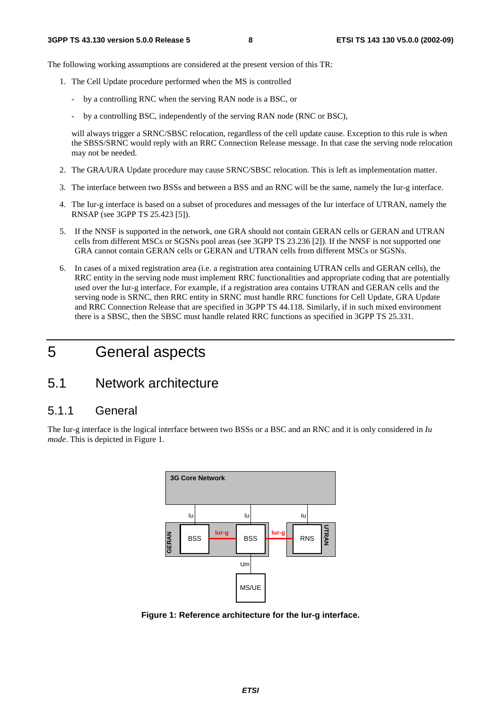The following working assumptions are considered at the present version of this TR:

- 1. The Cell Update procedure performed when the MS is controlled
	- by a controlling RNC when the serving RAN node is a BSC, or
	- by a controlling BSC, independently of the serving RAN node (RNC or BSC),

will always trigger a SRNC/SBSC relocation, regardless of the cell update cause. Exception to this rule is when the SBSS/SRNC would reply with an RRC Connection Release message. In that case the serving node relocation may not be needed.

- 2. The GRA/URA Update procedure may cause SRNC/SBSC relocation. This is left as implementation matter.
- 3. The interface between two BSSs and between a BSS and an RNC will be the same, namely the Iur-g interface.
- 4. The Iur-g interface is based on a subset of procedures and messages of the Iur interface of UTRAN, namely the RNSAP (see 3GPP TS 25.423 [5]).
- 5. If the NNSF is supported in the network, one GRA should not contain GERAN cells or GERAN and UTRAN cells from different MSCs or SGSNs pool areas (see 3GPP TS 23.236 [2]). If the NNSF is not supported one GRA cannot contain GERAN cells or GERAN and UTRAN cells from different MSCs or SGSNs.
- 6. In cases of a mixed registration area (i.e. a registration area containing UTRAN cells and GERAN cells), the RRC entity in the serving node must implement RRC functionalities and appropriate coding that are potentially used over the Iur-g interface. For example, if a registration area contains UTRAN and GERAN cells and the serving node is SRNC, then RRC entity in SRNC must handle RRC functions for Cell Update, GRA Update and RRC Connection Release that are specified in 3GPP TS 44.118. Similarly, if in such mixed environment there is a SBSC, then the SBSC must handle related RRC functions as specified in 3GPP TS 25.331.

# 5 General aspects

#### 5.1 Network architecture

#### 5.1.1 General

The Iur-g interface is the logical interface between two BSSs or a BSC and an RNC and it is only considered in *Iu mode*. This is depicted in Figure 1.



**Figure 1: Reference architecture for the Iur-g interface.**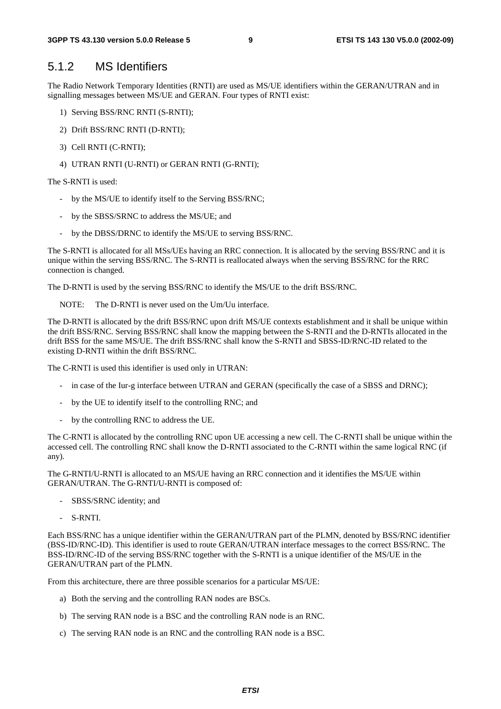#### 5.1.2 MS Identifiers

The Radio Network Temporary Identities (RNTI) are used as MS/UE identifiers within the GERAN/UTRAN and in signalling messages between MS/UE and GERAN. Four types of RNTI exist:

- 1) Serving BSS/RNC RNTI (S-RNTI);
- 2) Drift BSS/RNC RNTI (D-RNTI);
- 3) Cell RNTI (C-RNTI);
- 4) UTRAN RNTI (U-RNTI) or GERAN RNTI (G-RNTI);

The S-RNTI is used:

- by the MS/UE to identify itself to the Serving BSS/RNC;
- by the SBSS/SRNC to address the MS/UE; and
- by the DBSS/DRNC to identify the MS/UE to serving BSS/RNC.

The S-RNTI is allocated for all MSs/UEs having an RRC connection. It is allocated by the serving BSS/RNC and it is unique within the serving BSS/RNC. The S-RNTI is reallocated always when the serving BSS/RNC for the RRC connection is changed.

The D-RNTI is used by the serving BSS/RNC to identify the MS/UE to the drift BSS/RNC.

NOTE: The D-RNTI is never used on the Um/Uu interface.

The D-RNTI is allocated by the drift BSS/RNC upon drift MS/UE contexts establishment and it shall be unique within the drift BSS/RNC. Serving BSS/RNC shall know the mapping between the S-RNTI and the D-RNTIs allocated in the drift BSS for the same MS/UE. The drift BSS/RNC shall know the S-RNTI and SBSS-ID/RNC-ID related to the existing D-RNTI within the drift BSS/RNC.

The C-RNTI is used this identifier is used only in UTRAN:

- in case of the Iur-g interface between UTRAN and GERAN (specifically the case of a SBSS and DRNC);
- by the UE to identify itself to the controlling RNC; and
- by the controlling RNC to address the UE.

The C-RNTI is allocated by the controlling RNC upon UE accessing a new cell. The C-RNTI shall be unique within the accessed cell. The controlling RNC shall know the D-RNTI associated to the C-RNTI within the same logical RNC (if any).

The G-RNTI/U-RNTI is allocated to an MS/UE having an RRC connection and it identifies the MS/UE within GERAN/UTRAN. The G-RNTI/U-RNTI is composed of:

- SBSS/SRNC identity; and
- S-RNTI.

Each BSS/RNC has a unique identifier within the GERAN/UTRAN part of the PLMN, denoted by BSS/RNC identifier (BSS-ID/RNC-ID). This identifier is used to route GERAN/UTRAN interface messages to the correct BSS/RNC. The BSS-ID/RNC-ID of the serving BSS/RNC together with the S-RNTI is a unique identifier of the MS/UE in the GERAN/UTRAN part of the PLMN.

From this architecture, there are three possible scenarios for a particular MS/UE:

- a) Both the serving and the controlling RAN nodes are BSCs.
- b) The serving RAN node is a BSC and the controlling RAN node is an RNC.
- c) The serving RAN node is an RNC and the controlling RAN node is a BSC.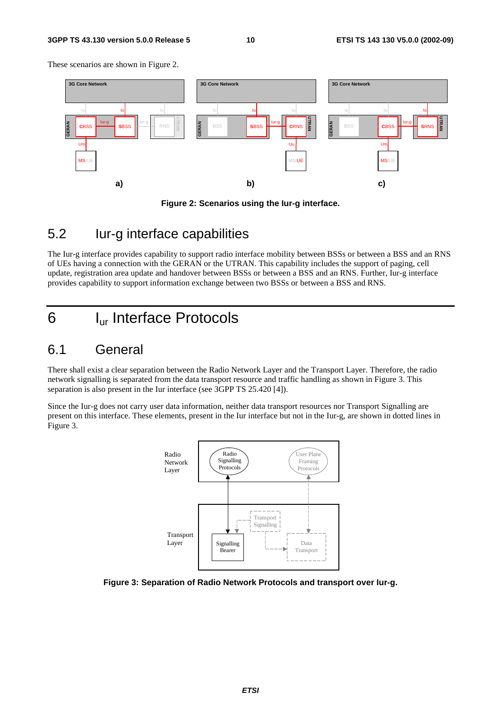#### **3GPP TS 43.130 version 5.0.0 Release 5 10 ETSI TS 143 130 V5.0.0 (2002-09)**

These scenarios are shown in Figure 2.





#### 5.2 Iur-g interface capabilities

The Iur-g interface provides capability to support radio interface mobility between BSSs or between a BSS and an RNS of UEs having a connection with the GERAN or the UTRAN. This capability includes the support of paging, cell update, registration area update and handover between BSSs or between a BSS and an RNS. Further, Iur-g interface provides capability to support information exchange between two BSSs or between a BSS and RNS.

# 6 Iur Interface Protocols

### 6.1 General

There shall exist a clear separation between the Radio Network Layer and the Transport Layer. Therefore, the radio network signalling is separated from the data transport resource and traffic handling as shown in Figure 3. This separation is also present in the Iur interface (see 3GPP TS 25.420 [4]).

Since the Iur-g does not carry user data information, neither data transport resources nor Transport Signalling are present on this interface. These elements, present in the Iur interface but not in the Iur-g, are shown in dotted lines in Figure 3.



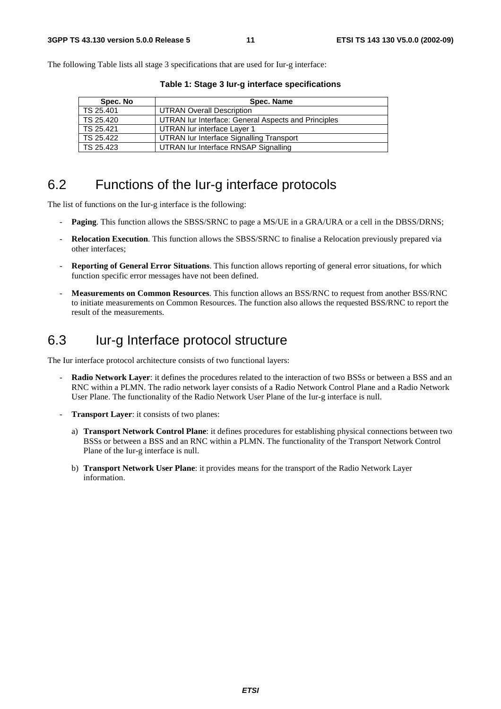The following Table lists all stage 3 specifications that are used for Iur-g interface:

| Spec. No  | Spec. Name                                          |
|-----------|-----------------------------------------------------|
| TS 25.401 | <b>UTRAN Overall Description</b>                    |
| TS 25.420 | UTRAN Iur Interface: General Aspects and Principles |
| TS 25.421 | UTRAN lur interface Layer 1                         |
| TS 25.422 | UTRAN Iur Interface Signalling Transport            |
| TS 25.423 | UTRAN lur Interface RNSAP Signalling                |

**Table 1: Stage 3 Iur-g interface specifications** 

#### 6.2 Functions of the Iur-g interface protocols

The list of functions on the Iur-g interface is the following:

- **Paging**. This function allows the SBSS/SRNC to page a MS/UE in a GRA/URA or a cell in the DBSS/DRNS;
- **Relocation Execution**. This function allows the SBSS/SRNC to finalise a Relocation previously prepared via other interfaces;
- **Reporting of General Error Situations**. This function allows reporting of general error situations, for which function specific error messages have not been defined.
- **Measurements on Common Resources**. This function allows an BSS/RNC to request from another BSS/RNC to initiate measurements on Common Resources. The function also allows the requested BSS/RNC to report the result of the measurements.

### 6.3 Iur-g Interface protocol structure

The Iur interface protocol architecture consists of two functional layers:

- **Radio Network Layer**: it defines the procedures related to the interaction of two BSSs or between a BSS and an RNC within a PLMN. The radio network layer consists of a Radio Network Control Plane and a Radio Network User Plane. The functionality of the Radio Network User Plane of the Iur-g interface is null.
- **Transport Layer:** it consists of two planes:
	- a) **Transport Network Control Plane**: it defines procedures for establishing physical connections between two BSSs or between a BSS and an RNC within a PLMN. The functionality of the Transport Network Control Plane of the Iur-g interface is null.
	- b) **Transport Network User Plane**: it provides means for the transport of the Radio Network Layer information.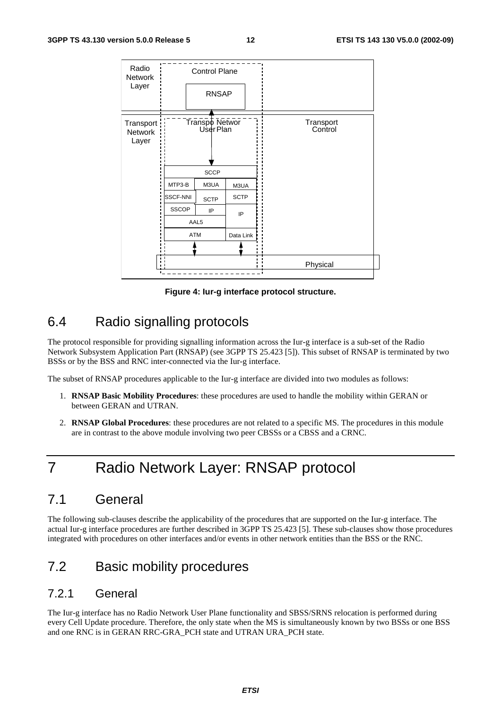| Radio<br>Network<br>Layer             |                 | <b>Control Plane</b><br><b>RNSAP</b> |                      |          |
|---------------------------------------|-----------------|--------------------------------------|----------------------|----------|
|                                       |                 |                                      |                      |          |
| Transport:<br><b>Network</b><br>Layer |                 | Transpo Networ<br>User Plan          | Transport<br>Control |          |
|                                       |                 | <b>SCCP</b>                          |                      |          |
|                                       | MTP3-B          | M3UA                                 | M3UA                 |          |
|                                       | <b>SSCF-NNI</b> | <b>SCTP</b>                          | <b>SCTP</b>          |          |
|                                       | <b>SSCOP</b>    | IP                                   | IP                   |          |
|                                       |                 | AAL5                                 |                      |          |
|                                       | <b>ATM</b>      |                                      | Data Link            |          |
|                                       |                 |                                      |                      |          |
| $\blacksquare$                        |                 |                                      |                      | Physical |
|                                       |                 |                                      |                      |          |

**Figure 4: Iur-g interface protocol structure.** 

### 6.4 Radio signalling protocols

The protocol responsible for providing signalling information across the Iur-g interface is a sub-set of the Radio Network Subsystem Application Part (RNSAP) (see 3GPP TS 25.423 [5]). This subset of RNSAP is terminated by two BSSs or by the BSS and RNC inter-connected via the Iur-g interface.

The subset of RNSAP procedures applicable to the Iur-g interface are divided into two modules as follows:

- 1. **RNSAP Basic Mobility Procedures**: these procedures are used to handle the mobility within GERAN or between GERAN and UTRAN.
- 2. **RNSAP Global Procedures**: these procedures are not related to a specific MS. The procedures in this module are in contrast to the above module involving two peer CBSSs or a CBSS and a CRNC.

# 7 Radio Network Layer: RNSAP protocol

### 7.1 General

The following sub-clauses describe the applicability of the procedures that are supported on the Iur-g interface. The actual Iur-g interface procedures are further described in 3GPP TS 25.423 [5]. These sub-clauses show those procedures integrated with procedures on other interfaces and/or events in other network entities than the BSS or the RNC.

### 7.2 Basic mobility procedures

#### 7.2.1 General

The Iur-g interface has no Radio Network User Plane functionality and SBSS/SRNS relocation is performed during every Cell Update procedure. Therefore, the only state when the MS is simultaneously known by two BSSs or one BSS and one RNC is in GERAN RRC-GRA\_PCH state and UTRAN URA\_PCH state.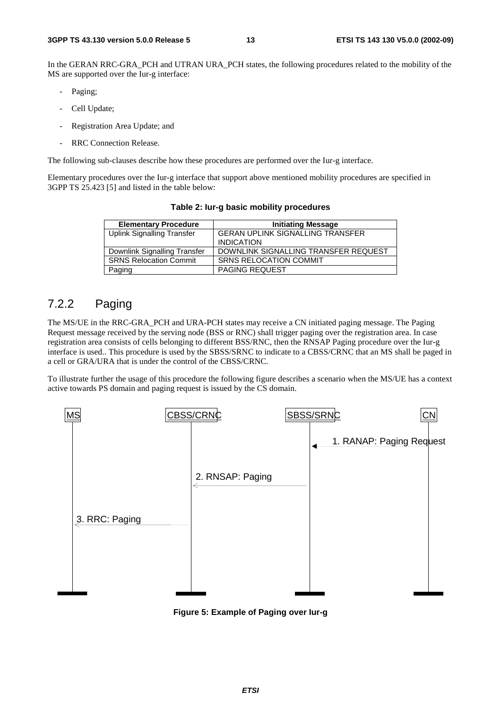In the GERAN RRC-GRA PCH and UTRAN URA PCH states, the following procedures related to the mobility of the MS are supported over the Iur-g interface:

- Paging;
- Cell Update;
- Registration Area Update; and
- RRC Connection Release.

The following sub-clauses describe how these procedures are performed over the Iur-g interface.

Elementary procedures over the Iur-g interface that support above mentioned mobility procedures are specified in 3GPP TS 25.423 [5] and listed in the table below:

| <b>Elementary Procedure</b>       | <b>Initiating Message</b>               |
|-----------------------------------|-----------------------------------------|
| <b>Uplink Signalling Transfer</b> | <b>GERAN UPLINK SIGNALLING TRANSFER</b> |
|                                   | <b>INDICATION</b>                       |
| Downlink Signalling Transfer      | DOWNLINK SIGNALLING TRANSFER REQUEST    |
| <b>SRNS Relocation Commit</b>     | <b>SRNS RELOCATION COMMIT</b>           |
| Paging                            | <b>PAGING REQUEST</b>                   |

**Table 2: Iur-g basic mobility procedures** 

#### 7.2.2 Paging

The MS/UE in the RRC-GRA\_PCH and URA-PCH states may receive a CN initiated paging message. The Paging Request message received by the serving node (BSS or RNC) shall trigger paging over the registration area. In case registration area consists of cells belonging to different BSS/RNC, then the RNSAP Paging procedure over the Iur-g interface is used.. This procedure is used by the SBSS/SRNC to indicate to a CBSS/CRNC that an MS shall be paged in a cell or GRA/URA that is under the control of the CBSS/CRNC.

To illustrate further the usage of this procedure the following figure describes a scenario when the MS/UE has a context active towards PS domain and paging request is issued by the CS domain.



**Figure 5: Example of Paging over Iur-g**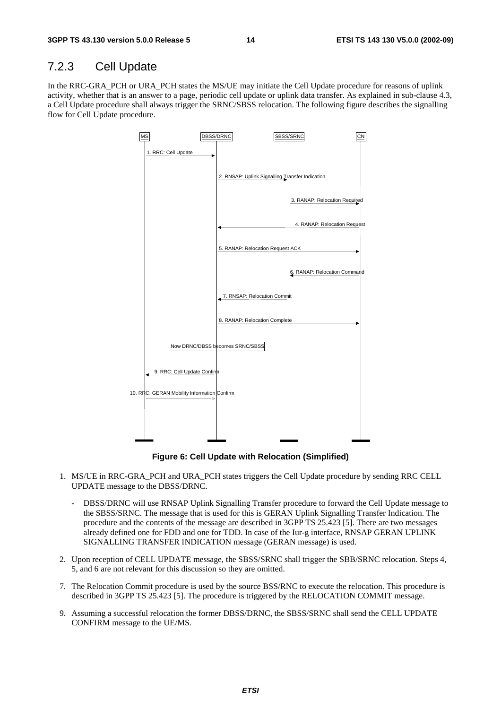#### 7.2.3 Cell Update

In the RRC-GRA\_PCH or URA\_PCH states the MS/UE may initiate the Cell Update procedure for reasons of uplink activity, whether that is an answer to a page, periodic cell update or uplink data transfer. As explained in sub-clause 4.3, a Cell Update procedure shall always trigger the SRNC/SBSS relocation. The following figure describes the signalling flow for Cell Update procedure.



**Figure 6: Cell Update with Relocation (Simplified)** 

- 1. MS/UE in RRC-GRA\_PCH and URA\_PCH states triggers the Cell Update procedure by sending RRC CELL UPDATE message to the DBSS/DRNC.
	- DBSS/DRNC will use RNSAP Uplink Signalling Transfer procedure to forward the Cell Update message to the SBSS/SRNC. The message that is used for this is GERAN Uplink Signalling Transfer Indication. The procedure and the contents of the message are described in 3GPP TS 25.423 [5]. There are two messages already defined one for FDD and one for TDD. In case of the Iur-g interface, RNSAP GERAN UPLINK SIGNALLING TRANSFER INDICATION message (GERAN message) is used.
- 2. Upon reception of CELL UPDATE message, the SBSS/SRNC shall trigger the SBB/SRNC relocation. Steps 4, 5, and 6 are not relevant for this discussion so they are omitted.
- 7. The Relocation Commit procedure is used by the source BSS/RNC to execute the relocation. This procedure is described in 3GPP TS 25.423 [5]. The procedure is triggered by the RELOCATION COMMIT message.
- 9. Assuming a successful relocation the former DBSS/DRNC, the SBSS/SRNC shall send the CELL UPDATE CONFIRM message to the UE/MS.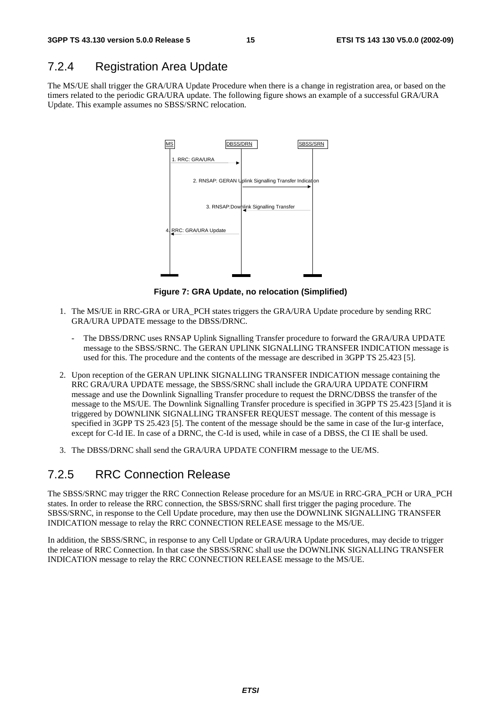#### 7.2.4 Registration Area Update

The MS/UE shall trigger the GRA/URA Update Procedure when there is a change in registration area, or based on the timers related to the periodic GRA/URA update. The following figure shows an example of a successful GRA/URA Update. This example assumes no SBSS/SRNC relocation.



**Figure 7: GRA Update, no relocation (Simplified)** 

- 1. The MS/UE in RRC-GRA or URA\_PCH states triggers the GRA/URA Update procedure by sending RRC GRA/URA UPDATE message to the DBSS/DRNC.
	- The DBSS/DRNC uses RNSAP Uplink Signalling Transfer procedure to forward the GRA/URA UPDATE message to the SBSS/SRNC. The GERAN UPLINK SIGNALLING TRANSFER INDICATION message is used for this. The procedure and the contents of the message are described in 3GPP TS 25.423 [5].
- 2. Upon reception of the GERAN UPLINK SIGNALLING TRANSFER INDICATION message containing the RRC GRA/URA UPDATE message, the SBSS/SRNC shall include the GRA/URA UPDATE CONFIRM message and use the Downlink Signalling Transfer procedure to request the DRNC/DBSS the transfer of the message to the MS/UE. The Downlink Signalling Transfer procedure is specified in 3GPP TS 25.423 [5]and it is triggered by DOWNLINK SIGNALLING TRANSFER REQUEST message. The content of this message is specified in 3GPP TS 25.423 [5]. The content of the message should be the same in case of the Iur-g interface, except for C-Id IE. In case of a DRNC, the C-Id is used, while in case of a DBSS, the CI IE shall be used.
- 3. The DBSS/DRNC shall send the GRA/URA UPDATE CONFIRM message to the UE/MS.

#### 7.2.5 RRC Connection Release

The SBSS/SRNC may trigger the RRC Connection Release procedure for an MS/UE in RRC-GRA\_PCH or URA\_PCH states. In order to release the RRC connection, the SBSS/SRNC shall first trigger the paging procedure. The SBSS/SRNC, in response to the Cell Update procedure, may then use the DOWNLINK SIGNALLING TRANSFER INDICATION message to relay the RRC CONNECTION RELEASE message to the MS/UE.

In addition, the SBSS/SRNC, in response to any Cell Update or GRA/URA Update procedures, may decide to trigger the release of RRC Connection. In that case the SBSS/SRNC shall use the DOWNLINK SIGNALLING TRANSFER INDICATION message to relay the RRC CONNECTION RELEASE message to the MS/UE.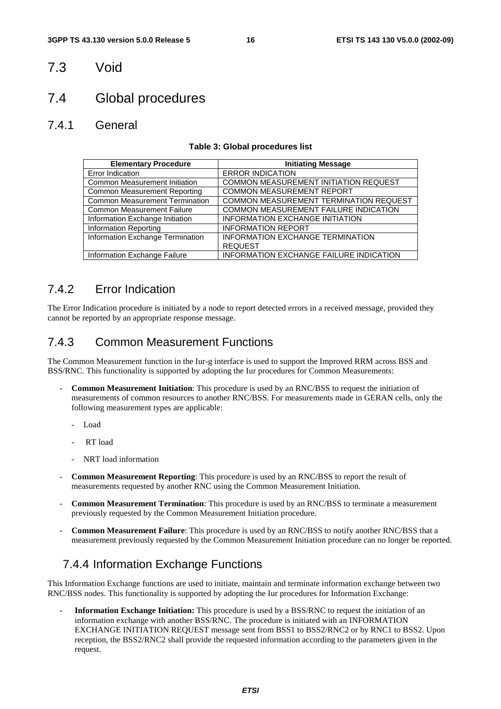#### 7.3 Void

#### 7.4 Global procedures

#### 7.4.1 General

#### **Table 3: Global procedures list**

| <b>Elementary Procedure</b>           | <b>Initiating Message</b>                      |
|---------------------------------------|------------------------------------------------|
| Error Indication                      | <b>ERROR INDICATION</b>                        |
| <b>Common Measurement Initiation</b>  | COMMON MEASUREMENT INITIATION REQUEST          |
| <b>Common Measurement Reporting</b>   | <b>COMMON MEASUREMENT REPORT</b>               |
| <b>Common Measurement Termination</b> | COMMON MEASUREMENT TERMINATION REQUEST         |
| <b>Common Measurement Failure</b>     | COMMON MEASUREMENT FAILURE INDICATION          |
| Information Exchange Initiation       | <b>INFORMATION EXCHANGE INITIATION</b>         |
| <b>Information Reporting</b>          | <b>INFORMATION REPORT</b>                      |
| Information Exchange Termination      | INFORMATION EXCHANGE TERMINATION               |
|                                       | <b>REQUEST</b>                                 |
| Information Exchange Failure          | <b>INFORMATION EXCHANGE FAILURE INDICATION</b> |

#### 7.4.2 Error Indication

The Error Indication procedure is initiated by a node to report detected errors in a received message, provided they cannot be reported by an appropriate response message.

#### 7.4.3 Common Measurement Functions

The Common Measurement function in the Iur-g interface is used to support the Improved RRM across BSS and BSS/RNC. This functionality is supported by adopting the Iur procedures for Common Measurements:

- **Common Measurement Initiation**: This procedure is used by an RNC/BSS to request the initiation of measurements of common resources to another RNC/BSS. For measurements made in GERAN cells, only the following measurement types are applicable:
	- Load
	- RT load
	- NRT load information
- **Common Measurement Reporting**: This procedure is used by an RNC/BSS to report the result of measurements requested by another RNC using the Common Measurement Initiation.
- **Common Measurement Termination**: This procedure is used by an RNC/BSS to terminate a measurement previously requested by the Common Measurement Initiation procedure.
- **Common Measurement Failure**: This procedure is used by an RNC/BSS to notify another RNC/BSS that a measurement previously requested by the Common Measurement Initiation procedure can no longer be reported.

#### 7.4.4 Information Exchange Functions

This Information Exchange functions are used to initiate, maintain and terminate information exchange between two RNC/BSS nodes. This functionality is supported by adopting the Iur procedures for Information Exchange:

- **Information Exchange Initiation:** This procedure is used by a BSS/RNC to request the initiation of an information exchange with another BSS/RNC. The procedure is initiated with an INFORMATION EXCHANGE INITIATION REQUEST message sent from BSS1 to BSS2/RNC2 or by RNC1 to BSS2. Upon reception, the BSS2/RNC2 shall provide the requested information according to the parameters given in the request.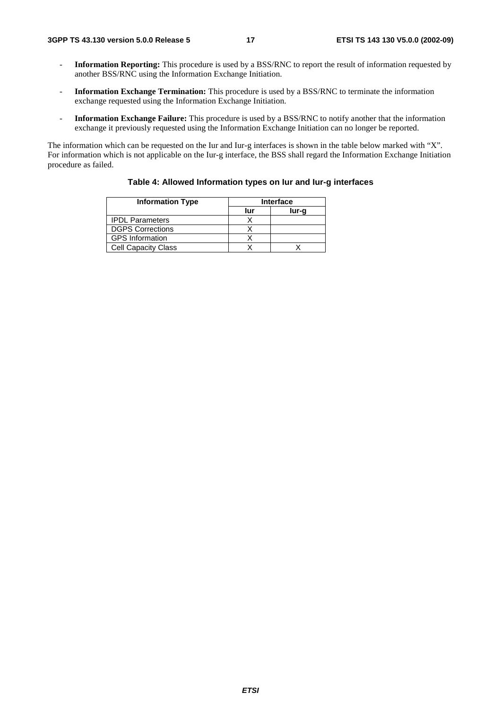- **Information Reporting:** This procedure is used by a BSS/RNC to report the result of information requested by another BSS/RNC using the Information Exchange Initiation.
- **Information Exchange Termination:** This procedure is used by a BSS/RNC to terminate the information exchange requested using the Information Exchange Initiation.
- **Information Exchange Failure:** This procedure is used by a BSS/RNC to notify another that the information exchange it previously requested using the Information Exchange Initiation can no longer be reported.

The information which can be requested on the Iur and Iur-g interfaces is shown in the table below marked with "X". For information which is not applicable on the Iur-g interface, the BSS shall regard the Information Exchange Initiation procedure as failed.

| <b>Information Type</b>    | <b>Interface</b> |       |  |
|----------------------------|------------------|-------|--|
|                            | lur              | lur-a |  |
| <b>IPDL Parameters</b>     |                  |       |  |
| <b>DGPS Corrections</b>    |                  |       |  |
| <b>GPS Information</b>     |                  |       |  |
| <b>Cell Capacity Class</b> |                  |       |  |

#### **Table 4: Allowed Information types on Iur and Iur-g interfaces**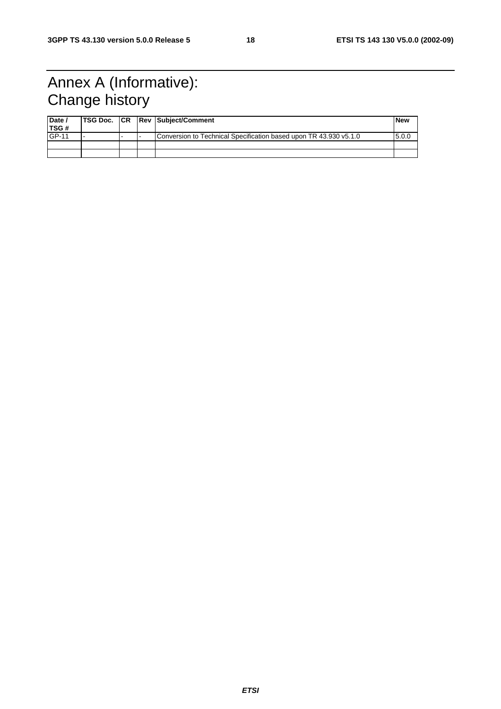# Annex A (Informative): Change history

| Date /<br>TSG# |  | <b>TSG Doc. CR Rev Subject/Comment</b>                            | l New |
|----------------|--|-------------------------------------------------------------------|-------|
| GP-11          |  | Conversion to Technical Specification based upon TR 43.930 v5.1.0 | 5.0.0 |
|                |  |                                                                   |       |
|                |  |                                                                   |       |